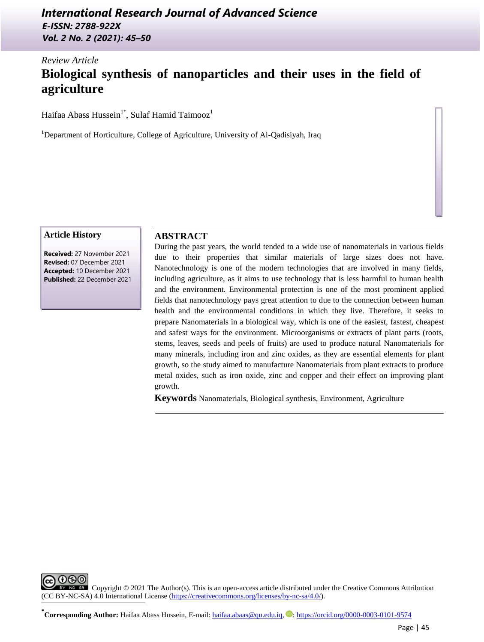## *International Research Journal of Advanced Science E-ISSN: 2788-922X Vol. 2 No. 2 (2021): 45–50*

# *Review Article* **Biological synthesis of nanoparticles and their uses in the field of agriculture**

Haifaa Abass Hussein<sup>1\*</sup>, Sulaf Hamid Taimooz<sup>1</sup>

**<sup>1</sup>**Department of Horticulture, College of Agriculture, University of Al-Qadisiyah, Iraq

#### **Article History**

**Received:** 27 November 2021 **Revised:** 07 December 2021 **Accepted:** 10 December 2021 **Published:** 22 December 2021

## **ABSTRACT**

During the past years, the world tended to a wide use of nanomaterials in various fields due to their properties that similar materials of large sizes does not have. Nanotechnology is one of the modern technologies that are involved in many fields, including agriculture, as it aims to use technology that is less harmful to human health and the environment. Environmental protection is one of the most prominent applied fields that nanotechnology pays great attention to due to the connection between human health and the environmental conditions in which they live. Therefore, it seeks to prepare Nanomaterials in a biological way, which is one of the easiest, fastest, cheapest and safest ways for the environment. Microorganisms or extracts of plant parts (roots, stems, leaves, seeds and peels of fruits) are used to produce natural Nanomaterials for many minerals, including iron and zinc oxides, as they are essential elements for plant growth, so the study aimed to manufacture Nanomaterials from plant extracts to produce metal oxides, such as iron oxide, zinc and copper and their effect on improving plant growth.

**Keywords** Nanomaterials, Biological synthesis, Environment, Agriculture

രൈ Copyright © 2021 The Author(s). This is an open-access article distributed under the Creative Commons Attribution (CC BY-NC-SA) 4.0 International License [\(https://creativecommons.org/licenses/by-nc-sa/4.0/\)](https://creativecommons.org/licenses/by-nc-sa/4.0/). ֺ

**\***<br> **Corresponding Author:** Haifaa Abass Hussein, E-mail: [haifaa.abaas@qu.edu.iq,](mailto:haifaa.abaas@qu.edu.iq) **D**[: https://orcid.org/0000-0003-0101-9574](https://orcid.org/0000-0003-0101-9574)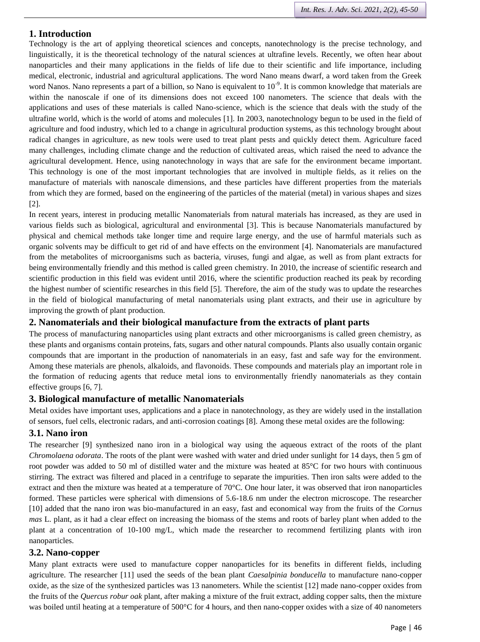#### **1. Introduction**

Technology is the art of applying theoretical sciences and concepts, nanotechnology is the precise technology, and linguistically, it is the theoretical technology of the natural sciences at ultrafine levels. Recently, we often hear about nanoparticles and their many applications in the fields of life due to their scientific and life importance, including medical, electronic, industrial and agricultural applications. The word Nano means dwarf, a word taken from the Greek word Nanos. Nano represents a part of a billion, so Nano is equivalent to 10<sup>-9</sup>. It is common knowledge that materials are within the nanoscale if one of its dimensions does not exceed 100 nanometers. The science that deals with the applications and uses of these materials is called Nano-science, which is the science that deals with the study of the ultrafine world, which is the world of atoms and molecules [1]. In 2003, nanotechnology begun to be used in the field of agriculture and food industry, which led to a change in agricultural production systems, as this technology brought about radical changes in agriculture, as new tools were used to treat plant pests and quickly detect them. Agriculture faced many challenges, including climate change and the reduction of cultivated areas, which raised the need to advance the agricultural development. Hence, using nanotechnology in ways that are safe for the environment became important. This technology is one of the most important technologies that are involved in multiple fields, as it relies on the manufacture of materials with nanoscale dimensions, and these particles have different properties from the materials from which they are formed, based on the engineering of the particles of the material (metal) in various shapes and sizes [2].

In recent years, interest in producing metallic Nanomaterials from natural materials has increased, as they are used in various fields such as biological, agricultural and environmental [3]. This is because Nanomaterials manufactured by physical and chemical methods take longer time and require large energy, and the use of harmful materials such as organic solvents may be difficult to get rid of and have effects on the environment [4]. Nanomaterials are manufactured from the metabolites of microorganisms such as bacteria, viruses, fungi and algae, as well as from plant extracts for being environmentally friendly and this method is called green chemistry. In 2010, the increase of scientific research and scientific production in this field was evident until 2016, where the scientific production reached its peak by recording the highest number of scientific researches in this field [5]. Therefore, the aim of the study was to update the researches in the field of biological manufacturing of metal nanomaterials using plant extracts, and their use in agriculture by improving the growth of plant production.

#### **2. Nanomaterials and their biological manufacture from the extracts of plant parts**

The process of manufacturing nanoparticles using plant extracts and other microorganisms is called green chemistry, as these plants and organisms contain proteins, fats, sugars and other natural compounds. Plants also usually contain organic compounds that are important in the production of nanomaterials in an easy, fast and safe way for the environment. Among these materials are phenols, alkaloids, and flavonoids. These compounds and materials play an important role in the formation of reducing agents that reduce metal ions to environmentally friendly nanomaterials as they contain effective groups [6, 7].

#### **3. Biological manufacture of metallic Nanomaterials**

Metal oxides have important uses, applications and a place in nanotechnology, as they are widely used in the installation of sensors, fuel cells, electronic radars, and anti-corrosion coatings [8]. Among these metal oxides are the following:

#### **3.1. Nano iron**

The researcher [9] synthesized nano iron in a biological way using the aqueous extract of the roots of the plant *Chromolaena odorata*. The roots of the plant were washed with water and dried under sunlight for 14 days, then 5 gm of root powder was added to 50 ml of distilled water and the mixture was heated at 85°C for two hours with continuous stirring. The extract was filtered and placed in a centrifuge to separate the impurities. Then iron salts were added to the extract and then the mixture was heated at a temperature of 70°C. One hour later, it was observed that iron nanoparticles formed. These particles were spherical with dimensions of 5.6-18.6 nm under the electron microscope. The researcher [10] added that the nano iron was bio-manufactured in an easy, fast and economical way from the fruits of the *Cornus mas* L. plant, as it had a clear effect on increasing the biomass of the stems and roots of barley plant when added to the plant at a concentration of 10-100 mg/L, which made the researcher to recommend fertilizing plants with iron nanoparticles.

#### **3.2. Nano-copper**

Many plant extracts were used to manufacture copper nanoparticles for its benefits in different fields, including agriculture. The researcher [11] used the seeds of the bean plant *Caesalpinia bonducella* to manufacture nano-copper oxide, as the size of the synthesized particles was 13 nanometers. While the scientist [12] made nano-copper oxides from the fruits of the *Quercus robur oak* plant, after making a mixture of the fruit extract, adding copper salts, then the mixture was boiled until heating at a temperature of 500°C for 4 hours, and then nano-copper oxides with a size of 40 nanometers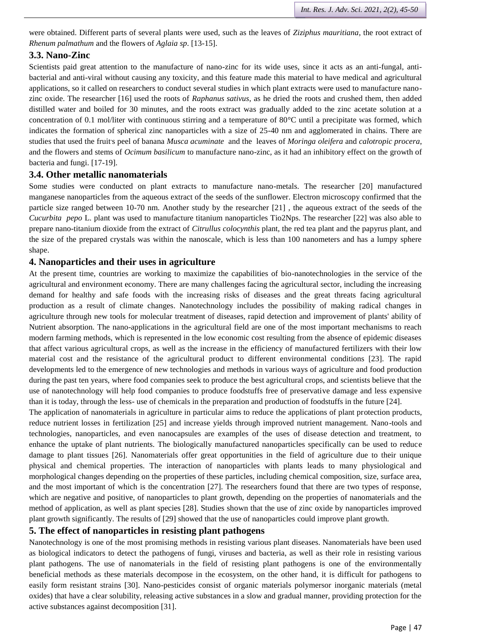were obtained. Different parts of several plants were used, such as the leaves of *Ziziphus mauritiana*, the root extract of *Rhenum palmathum* and the flowers of *Aglaia sp*. [13-15].

## **3.3. Nano-Zinc**

Scientists paid great attention to the manufacture of nano-zinc for its wide uses, since it acts as an anti-fungal, antibacterial and anti-viral without causing any toxicity, and this feature made this material to have medical and agricultural applications, so it called on researchers to conduct several studies in which plant extracts were used to manufacture nanozinc oxide. The researcher [16] used the roots of *Raphanus sativus*, as he dried the roots and crushed them, then added distilled water and boiled for 30 minutes, and the roots extract was gradually added to the zinc acetate solution at a concentration of 0.1 mol/liter with continuous stirring and a temperature of 80°C until a precipitate was formed, which indicates the formation of spherical zinc nanoparticles with a size of 25-40 nm and agglomerated in chains. There are studies that used the fruit's peel of banana *Musca acuminate* and the leaves of *Moringa oleifera* and *calotropic procera*, and the flowers and stems of *Ocimum basilicum* to manufacture nano-zinc, as it had an inhibitory effect on the growth of bacteria and fungi. [17-19].

## **3.4. Other metallic nanomaterials**

Some studies were conducted on plant extracts to manufacture nano-metals. The researcher [20] manufactured manganese nanoparticles from the aqueous extract of the seeds of the sunflower. Electron microscopy confirmed that the particle size ranged between 10-70 nm. Another study by the researcher [21] , the aqueous extract of the seeds of the *Cucurbita pepo* L. plant was used to manufacture titanium nanoparticles Tio2Nps. The researcher [22] was also able to prepare nano-titanium dioxide from the extract of *Citrullus colocynthis* plant, the red tea plant and the papyrus plant, and the size of the prepared crystals was within the nanoscale, which is less than 100 nanometers and has a lumpy sphere shape.

## **4. Nanoparticles and their uses in agriculture**

At the present time, countries are working to maximize the capabilities of bio-nanotechnologies in the service of the agricultural and environment economy. There are many challenges facing the agricultural sector, including the increasing demand for healthy and safe foods with the increasing risks of diseases and the great threats facing agricultural production as a result of climate changes. Nanotechnology includes the possibility of making radical changes in agriculture through new tools for molecular treatment of diseases, rapid detection and improvement of plants' ability of Nutrient absorption. The nano-applications in the agricultural field are one of the most important mechanisms to reach modern farming methods, which is represented in the low economic cost resulting from the absence of epidemic diseases that affect various agricultural crops, as well as the increase in the efficiency of manufactured fertilizers with their low material cost and the resistance of the agricultural product to different environmental conditions [23]. The rapid developments led to the emergence of new technologies and methods in various ways of agriculture and food production during the past ten years, where food companies seek to produce the best agricultural crops, and scientists believe that the use of nanotechnology will help food companies to produce foodstuffs free of preservative damage and less expensive than it is today, through the less- use of chemicals in the preparation and production of foodstuffs in the future [24].

The application of nanomaterials in agriculture in particular aims to reduce the applications of plant protection products, reduce nutrient losses in fertilization [25] and increase yields through improved nutrient management. Nano-tools and technologies, nanoparticles, and even nanocapsules are examples of the uses of disease detection and treatment, to enhance the uptake of plant nutrients. The biologically manufactured nanoparticles specifically can be used to reduce damage to plant tissues [26]. Nanomaterials offer great opportunities in the field of agriculture due to their unique physical and chemical properties. The interaction of nanoparticles with plants leads to many physiological and morphological changes depending on the properties of these particles, including chemical composition, size, surface area, and the most important of which is the concentration [27]. The researchers found that there are two types of response, which are negative and positive, of nanoparticles to plant growth, depending on the properties of nanomaterials and the method of application, as well as plant species [28]. Studies shown that the use of zinc oxide by nanoparticles improved plant growth significantly. The results of [29] showed that the use of nanoparticles could improve plant growth.

## **5. The effect of nanoparticles in resisting plant pathogens**

Nanotechnology is one of the most promising methods in resisting various plant diseases. Nanomaterials have been used as biological indicators to detect the pathogens of fungi, viruses and bacteria, as well as their role in resisting various plant pathogens. The use of nanomaterials in the field of resisting plant pathogens is one of the environmentally beneficial methods as these materials decompose in the ecosystem, on the other hand, it is difficult for pathogens to easily form resistant strains [30]. Nano-pesticides consist of organic materials polymersor inorganic materials (metal oxides) that have a clear solubility, releasing active substances in a slow and gradual manner, providing protection for the active substances against decomposition [31].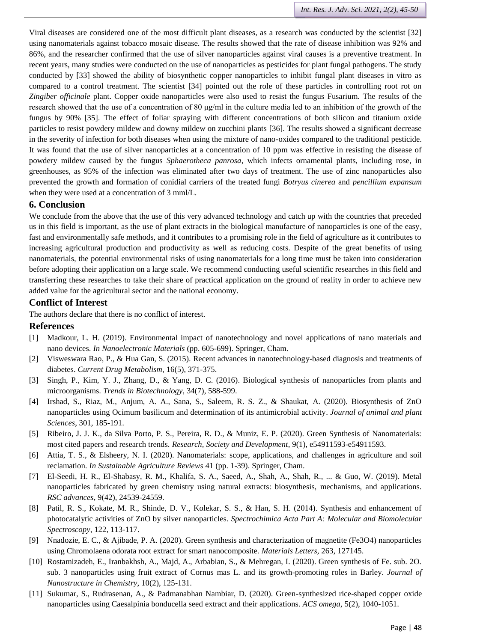Viral diseases are considered one of the most difficult plant diseases, as a research was conducted by the scientist [32] using nanomaterials against tobacco mosaic disease. The results showed that the rate of disease inhibition was 92% and 86%, and the researcher confirmed that the use of silver nanoparticles against viral causes is a preventive treatment. In recent years, many studies were conducted on the use of nanoparticles as pesticides for plant fungal pathogens. The study conducted by [33] showed the ability of biosynthetic copper nanoparticles to inhibit fungal plant diseases in vitro as compared to a control treatment. The scientist [34] pointed out the role of these particles in controlling root rot on *Zingiber officinale* plant. Copper oxide nanoparticles were also used to resist the fungus Fusarium. The results of the research showed that the use of a concentration of 80 μg/ml in the culture media led to an inhibition of the growth of the fungus by 90% [35]. The effect of foliar spraying with different concentrations of both silicon and titanium oxide particles to resist powdery mildew and downy mildew on zucchini plants [36]. The results showed a significant decrease in the severity of infection for both diseases when using the mixture of nano-oxides compared to the traditional pesticide. It was found that the use of silver nanoparticles at a concentration of 10 ppm was effective in resisting the disease of powdery mildew caused by the fungus *Sphaerotheca panrosa*, which infects ornamental plants, including rose, in greenhouses, as 95% of the infection was eliminated after two days of treatment. The use of zinc nanoparticles also prevented the growth and formation of conidial carriers of the treated fungi *Botryus cinerea* and *pencillium expansum* when they were used at a concentration of 3 mml/L.

#### **6. Conclusion**

We conclude from the above that the use of this very advanced technology and catch up with the countries that preceded us in this field is important, as the use of plant extracts in the biological manufacture of nanoparticles is one of the easy, fast and environmentally safe methods, and it contributes to a promising role in the field of agriculture as it contributes to increasing agricultural production and productivity as well as reducing costs. Despite of the great benefits of using nanomaterials, the potential environmental risks of using nanomaterials for a long time must be taken into consideration before adopting their application on a large scale. We recommend conducting useful scientific researches in this field and transferring these researches to take their share of practical application on the ground of reality in order to achieve new added value for the agricultural sector and the national economy.

#### **Conflict of Interest**

The authors declare that there is no conflict of interest.

#### **References**

- [1] Madkour, L. H. (2019). Environmental impact of nanotechnology and novel applications of nano materials and nano devices. *In Nanoelectronic Materials* (pp. 605-699). Springer, Cham.
- [2] Visweswara Rao, P., & Hua Gan, S. (2015). Recent advances in nanotechnology-based diagnosis and treatments of diabetes. *Current Drug Metabolism*, 16(5), 371-375.
- [3] Singh, P., Kim, Y. J., Zhang, D., & Yang, D. C. (2016). Biological synthesis of nanoparticles from plants and microorganisms. *Trends in Biotechnology*, 34(7), 588-599.
- [4] Irshad, S., Riaz, M., Anjum, A. A., Sana, S., Saleem, R. S. Z., & Shaukat, A. (2020). Biosynthesis of ZnO nanoparticles using Ocimum basilicum and determination of its antimicrobial activity. *Journal of animal and plant Sciences*, 301, 185-191.
- [5] Ribeiro, J. J. K., da Silva Porto, P. S., Pereira, R. D., & Muniz, E. P. (2020). Green Synthesis of Nanomaterials: most cited papers and research trends. *Research, Society and Development*, 9(1), e54911593-e54911593.
- [6] Attia, T. S., & Elsheery, N. I. (2020). Nanomaterials: scope, applications, and challenges in agriculture and soil reclamation. *In Sustainable Agriculture Reviews* 41 (pp. 1-39). Springer, Cham.
- [7] El-Seedi, H. R., El-Shabasy, R. M., Khalifa, S. A., Saeed, A., Shah, A., Shah, R., ... & Guo, W. (2019). Metal nanoparticles fabricated by green chemistry using natural extracts: biosynthesis, mechanisms, and applications. *RSC advances*, 9(42), 24539-24559.
- [8] Patil, R. S., Kokate, M. R., Shinde, D. V., Kolekar, S. S., & Han, S. H. (2014). Synthesis and enhancement of photocatalytic activities of ZnO by silver nanoparticles. *Spectrochimica Acta Part A: Molecular and Biomolecular Spectroscopy*, 122, 113-117.
- [9] Nnadozie, E. C., & Ajibade, P. A. (2020). Green synthesis and characterization of magnetite (Fe3O4) nanoparticles using Chromolaena odorata root extract for smart nanocomposite. *Materials Letters*, 263, 127145.
- [10] Rostamizadeh, E., Iranbakhsh, A., Majd, A., Arbabian, S., & Mehregan, I. (2020). Green synthesis of Fe. sub. 2O. sub. 3 nanoparticles using fruit extract of Cornus mas L. and its growth-promoting roles in Barley. *Journal of Nanostructure in Chemistry*, 10(2), 125-131.
- [11] Sukumar, S., Rudrasenan, A., & Padmanabhan Nambiar, D. (2020). Green-synthesized rice-shaped copper oxide nanoparticles using Caesalpinia bonducella seed extract and their applications. *ACS omega*, 5(2), 1040-1051.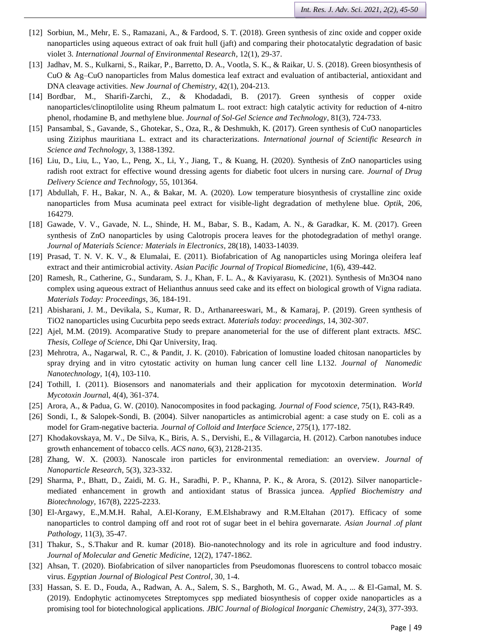- [12] Sorbiun, M., Mehr, E. S., Ramazani, A., & Fardood, S. T. (2018). Green synthesis of zinc oxide and copper oxide nanoparticles using aqueous extract of oak fruit hull (jaft) and comparing their photocatalytic degradation of basic violet 3. *International Journal of Environmental Research*, 12(1), 29-37.
- [13] Jadhav, M. S., Kulkarni, S., Raikar, P., Barretto, D. A., Vootla, S. K., & Raikar, U. S. (2018). Green biosynthesis of CuO & Ag–CuO nanoparticles from Malus domestica leaf extract and evaluation of antibacterial, antioxidant and DNA cleavage activities. *New Journal of Chemistry*, 42(1), 204-213.
- [14] Bordbar, M., Sharifi-Zarchi, Z., & Khodadadi, B. (2017). Green synthesis of copper oxide nanoparticles/clinoptilolite using Rheum palmatum L. root extract: high catalytic activity for reduction of 4-nitro phenol, rhodamine B, and methylene blue. *Journal of Sol-Gel Science and Technology*, 81(3), 724-733.
- [15] Pansambal, S., Gavande, S., Ghotekar, S., Oza, R., & Deshmukh, K. (2017). Green synthesis of CuO nanoparticles using Ziziphus mauritiana L. extract and its characterizations. *International journal of Scientific Research in Science and Technology*, 3, 1388-1392.
- [16] Liu, D., Liu, L., Yao, L., Peng, X., Li, Y., Jiang, T., & Kuang, H. (2020). Synthesis of ZnO nanoparticles using radish root extract for effective wound dressing agents for diabetic foot ulcers in nursing care. *Journal of Drug Delivery Science and Technology*, 55, 101364.
- [17] Abdullah, F. H., Bakar, N. A., & Bakar, M. A. (2020). Low temperature biosynthesis of crystalline zinc oxide nanoparticles from Musa acuminata peel extract for visible-light degradation of methylene blue. *Optik*, 206, 164279.
- [18] Gawade, V. V., Gavade, N. L., Shinde, H. M., Babar, S. B., Kadam, A. N., & Garadkar, K. M. (2017). Green synthesis of ZnO nanoparticles by using Calotropis procera leaves for the photodegradation of methyl orange. *Journal of Materials Science: Materials in Electronics*, 28(18), 14033-14039.
- [19] Prasad, T. N. V. K. V., & Elumalai, E. (2011). Biofabrication of Ag nanoparticles using Moringa oleifera leaf extract and their antimicrobial activity. *Asian Pacific Journal of Tropical Biomedicine*, 1(6), 439-442.
- [20] Ramesh, R., Catherine, G., Sundaram, S. J., Khan, F. L. A., & Kaviyarasu, K. (2021). Synthesis of Mn3O4 nano complex using aqueous extract of Helianthus annuus seed cake and its effect on biological growth of Vigna radiata. *Materials Today: Proceedings*, 36, 184-191.
- [21] Abisharani, J. M., Devikala, S., Kumar, R. D., Arthanareeswari, M., & Kamaraj, P. (2019). Green synthesis of TiO2 nanoparticles using Cucurbita pepo seeds extract. *Materials today: proceedings*, 14, 302-307.
- [22] Ajel, M.M. (2019). Acomparative Study to prepare ananometerial for the use of different plant extracts. *MSC. Thesis, College of Science*, Dhi Qar University, Iraq.
- [23] Mehrotra, A., Nagarwal, R. C., & Pandit, J. K. (2010). Fabrication of lomustine loaded chitosan nanoparticles by spray drying and in vitro cytostatic activity on human lung cancer cell line L132. *Journal of Nanomedic Nanotechnology,* 1(4), 103-110.
- [24] Tothill, I. (2011). Biosensors and nanomaterials and their application for mycotoxin determination. *World Mycotoxin Journa*l, 4(4), 361-374.
- [25] Arora, A., & Padua, G. W. (2010). Nanocomposites in food packaging. *Journal of Food science*, 75(1), R43-R49.
- [26] Sondi, I., & Salopek-Sondi, B. (2004). Silver nanoparticles as antimicrobial agent: a case study on E. coli as a model for Gram-negative bacteria. *Journal of Colloid and Interface Science*, 275(1), 177-182.
- [27] Khodakovskaya, M. V., De Silva, K., Biris, A. S., Dervishi, E., & Villagarcia, H. (2012). Carbon nanotubes induce growth enhancement of tobacco cells. *ACS nano*, 6(3), 2128-2135.
- [28] Zhang, W. X. (2003). Nanoscale iron particles for environmental remediation: an overview. *Journal of Nanoparticle Research*, 5(3), 323-332.
- [29] Sharma, P., Bhatt, D., Zaidi, M. G. H., Saradhi, P. P., Khanna, P. K., & Arora, S. (2012). Silver nanoparticlemediated enhancement in growth and antioxidant status of Brassica juncea. *Applied Biochemistry and Biotechnology*, 167(8), 2225-2233.
- [30] El-Argawy, E.,M.M.H. Rahal, A.El-Korany, E.M.Elshabrawy and R.M.Eltahan (2017). Efficacy of some nanoparticles to control damping off and root rot of sugar beet in el behira governarate. *Asian Journal .of plant Pathology*, 11(3), 35-47.
- [31] Thakur, S., S.Thakur and R. kumar (2018). Bio-nanotechnology and its role in agriculture and food industry. *Journal of Molecular and Genetic Medicine,* 12(2), 1747-1862.
- [32] Ahsan, T. (2020). Biofabrication of silver nanoparticles from Pseudomonas fluorescens to control tobacco mosaic virus. *Egyptian Journal of Biological Pest Control*, 30, 1-4.
- [33] Hassan, S. E. D., Fouda, A., Radwan, A. A., Salem, S. S., Barghoth, M. G., Awad, M. A., ... & El-Gamal, M. S. (2019). Endophytic actinomycetes Streptomyces spp mediated biosynthesis of copper oxide nanoparticles as a promising tool for biotechnological applications. *JBIC Journal of Biological Inorganic Chemistry*, 24(3), 377-393.